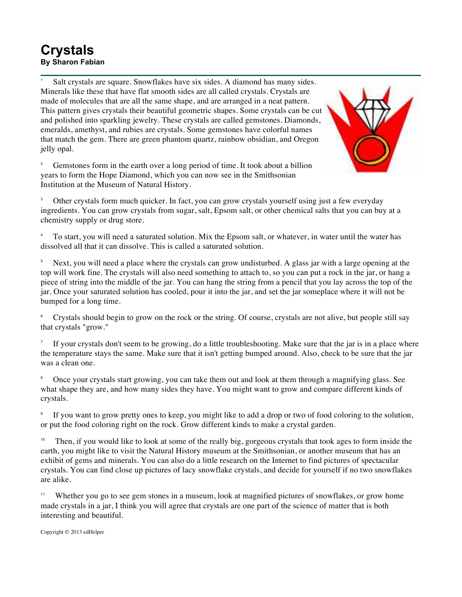## **Crystals By Sharon Fabian**

Salt crystals are square. Snowflakes have six sides. A diamond has many sides. Minerals like these that have flat smooth sides are all called crystals. Crystals are made of molecules that are all the same shape, and are arranged in a neat pattern. This pattern gives crystals their beautiful geometric shapes. Some crystals can be cut and polished into sparkling jewelry. These crystals are called gemstones. Diamonds, emeralds, amethyst, and rubies are crystals. Some gemstones have colorful names that match the gem. There are green phantom quartz, rainbow obsidian, and Oregon jelly opal.





<sup>3</sup> Other crystals form much quicker. In fact, you can grow crystals yourself using just a few everyday ingredients. You can grow crystals from sugar, salt, Epsom salt, or other chemical salts that you can buy at a chemistry supply or drug store.

<sup>4</sup> To start, you will need a saturated solution. Mix the Epsom salt, or whatever, in water until the water has dissolved all that it can dissolve. This is called a saturated solution.

<sup>5</sup> Next, you will need a place where the crystals can grow undisturbed. A glass jar with a large opening at the top will work fine. The crystals will also need something to attach to, so you can put a rock in the jar, or hang a piece of string into the middle of the jar. You can hang the string from a pencil that you lay across the top of the jar. Once your saturated solution has cooled, pour it into the jar, and set the jar someplace where it will not be bumped for a long time.

<sup>6</sup> Crystals should begin to grow on the rock or the string. Of course, crystals are not alive, but people still say that crystals "grow."

If your crystals don't seem to be growing, do a little troubleshooting. Make sure that the jar is in a place where the temperature stays the same. Make sure that it isn't getting bumped around. Also, check to be sure that the jar was a clean one.

<sup>8</sup> Once your crystals start growing, you can take them out and look at them through a magnifying glass. See what shape they are, and how many sides they have. You might want to grow and compare different kinds of crystals.

<sup>9</sup> If you want to grow pretty ones to keep, you might like to add a drop or two of food coloring to the solution, or put the food coloring right on the rock. Grow different kinds to make a crystal garden.

Then, if you would like to look at some of the really big, gorgeous crystals that took ages to form inside the earth, you might like to visit the Natural History museum at the Smithsonian, or another museum that has an exhibit of gems and minerals. You can also do a little research on the Internet to find pictures of spectacular crystals. You can find close up pictures of lacy snowflake crystals, and decide for yourself if no two snowflakes are alike.

<sup>11</sup> Whether you go to see gem stones in a museum, look at magnified pictures of snowflakes, or grow home made crystals in a jar, I think you will agree that crystals are one part of the science of matter that is both interesting and beautiful.